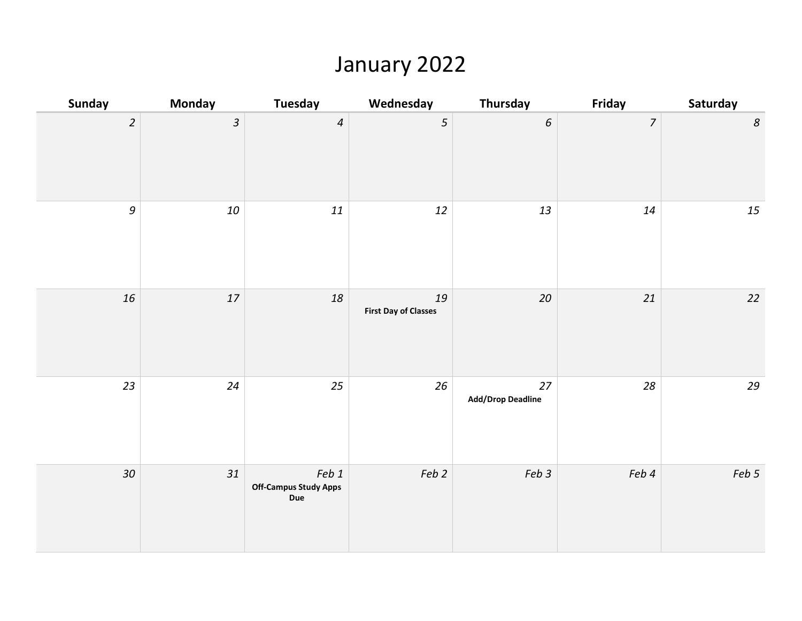#### January 2022

| Sunday           | <b>Monday</b>  | Tuesday                                             | Wednesday                         | Thursday                         | Friday         | Saturday         |
|------------------|----------------|-----------------------------------------------------|-----------------------------------|----------------------------------|----------------|------------------|
| $\overline{2}$   | $\overline{3}$ | $\overline{4}$                                      | 5                                 | $\epsilon$                       | $\overline{7}$ | $\boldsymbol{8}$ |
| $\boldsymbol{g}$ | $10\,$         | $11\,$                                              | $12\,$                            | 13                               | 14             | 15               |
| 16               | $17\,$         | 18                                                  | 19<br><b>First Day of Classes</b> | $20\,$                           | 21             | $22$             |
| 23               | 24             | 25                                                  | 26                                | $27$<br><b>Add/Drop Deadline</b> | 28             | 29               |
| 30 <sub>o</sub>  | 31             | Feb 1<br><b>Off-Campus Study Apps</b><br><b>Due</b> | Feb 2                             | Feb 3                            | Feb 4          | Feb 5            |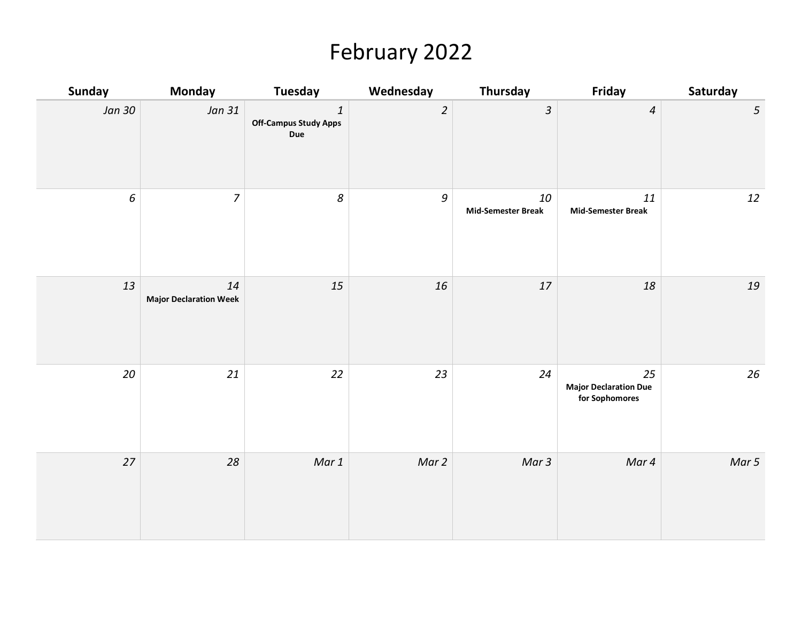# February 2022

| Sunday           | <b>Monday</b>                       | Tuesday                                                              | Wednesday      | Thursday                        | Friday                                               | Saturday        |
|------------------|-------------------------------------|----------------------------------------------------------------------|----------------|---------------------------------|------------------------------------------------------|-----------------|
| Jan 30           | Jan 31                              | $\ensuremath{\mathnormal{1}}$<br><b>Off-Campus Study Apps</b><br>Due | $\overline{2}$ | $\boldsymbol{\mathcal{S}}$      | $\boldsymbol{4}$                                     | $5\overline{)}$ |
| $\boldsymbol{6}$ | $\overline{7}$                      | 8                                                                    | $\mathfrak g$  | 10<br><b>Mid-Semester Break</b> | 11<br><b>Mid-Semester Break</b>                      | 12              |
| 13               | 14<br><b>Major Declaration Week</b> | 15                                                                   | 16             | $17\,$                          | 18                                                   | 19              |
| 20               | 21                                  | 22                                                                   | 23             | 24                              | 25<br><b>Major Declaration Due</b><br>for Sophomores | 26              |
| 27               | $28\,$                              | Mar 1                                                                | Mar 2          | Mar 3                           | Mar 4                                                | Mar 5           |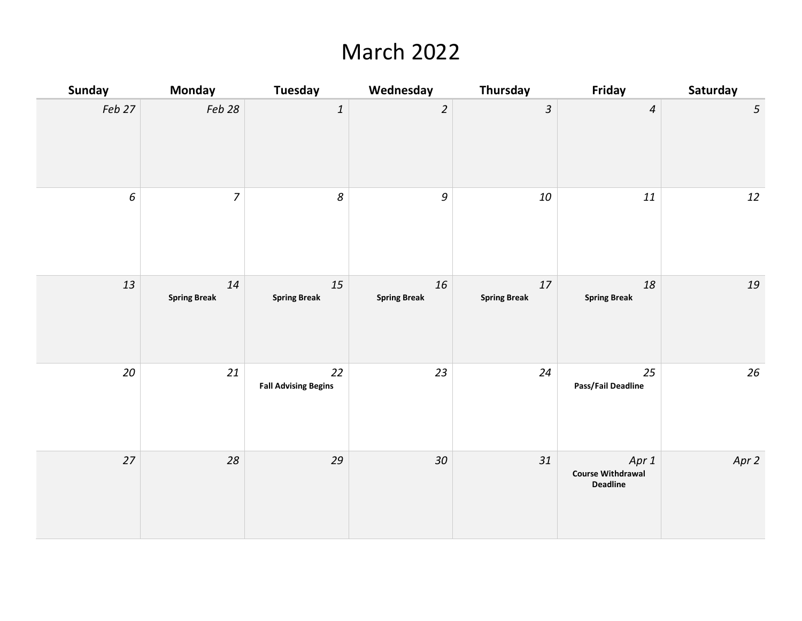## March 2022

| <b>Sunday</b>    | <b>Monday</b>             | <b>Tuesday</b>                    | Wednesday                 | Thursday                  | Friday                                               | Saturday        |
|------------------|---------------------------|-----------------------------------|---------------------------|---------------------------|------------------------------------------------------|-----------------|
| Feb 27           | Feb 28                    | $\ensuremath{\mathnormal{1}}$     | $\overline{c}$            | $\mathfrak{Z}$            | $\overline{4}$                                       | $5\overline{)}$ |
| $\boldsymbol{6}$ | $\overline{7}$            | $\boldsymbol{8}$                  | $\boldsymbol{g}$          | 10                        | $11\,$                                               | $12\,$          |
| 13               | 14<br><b>Spring Break</b> | 15<br><b>Spring Break</b>         | 16<br><b>Spring Break</b> | 17<br><b>Spring Break</b> | $18\,$<br><b>Spring Break</b>                        | 19              |
| 20               | 21                        | 22<br><b>Fall Advising Begins</b> | 23                        | 24                        | 25<br>Pass/Fail Deadline                             | 26              |
| 27               | 28                        | 29                                | $30\,$                    | 31                        | Apr 1<br><b>Course Withdrawal</b><br><b>Deadline</b> | Apr 2           |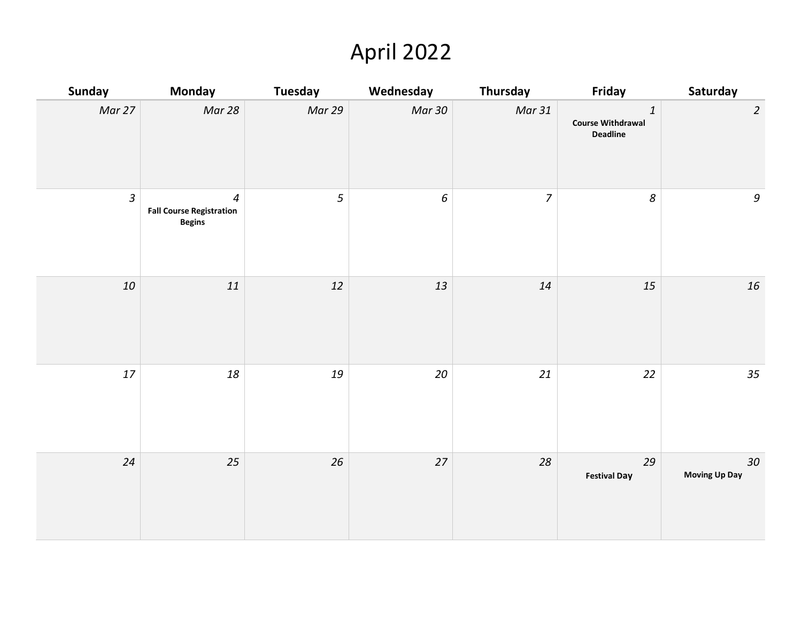# April 2022

| Sunday         | <b>Monday</b>                                                      | <b>Tuesday</b> | Wednesday        | Thursday       | Friday                                                          | Saturday                                                  |
|----------------|--------------------------------------------------------------------|----------------|------------------|----------------|-----------------------------------------------------------------|-----------------------------------------------------------|
| Mar 27         | Mar 28                                                             | Mar 29         | <b>Mar 30</b>    | Mar 31         | $\boldsymbol{1}$<br><b>Course Withdrawal</b><br><b>Deadline</b> | $\overline{2}$                                            |
| $\mathfrak{Z}$ | $\overline{4}$<br><b>Fall Course Registration</b><br><b>Begins</b> | 5              | $\boldsymbol{6}$ | $\overline{7}$ | $\boldsymbol{\mathcal{S}}$                                      | $\mathcal{G}% _{M_{1},M_{2}}^{\alpha,\beta}(\varepsilon)$ |
| 10             | $11\,$                                                             | 12             | 13               | 14             | 15                                                              | $16\,$                                                    |
| $17\,$         | $18\,$                                                             | $19\,$         | $20\,$           | 21             | 22                                                              | 35                                                        |
| 24             | 25                                                                 | 26             | $27$             | 28             | 29<br><b>Festival Day</b>                                       | 30 <sub>o</sub><br><b>Moving Up Day</b>                   |